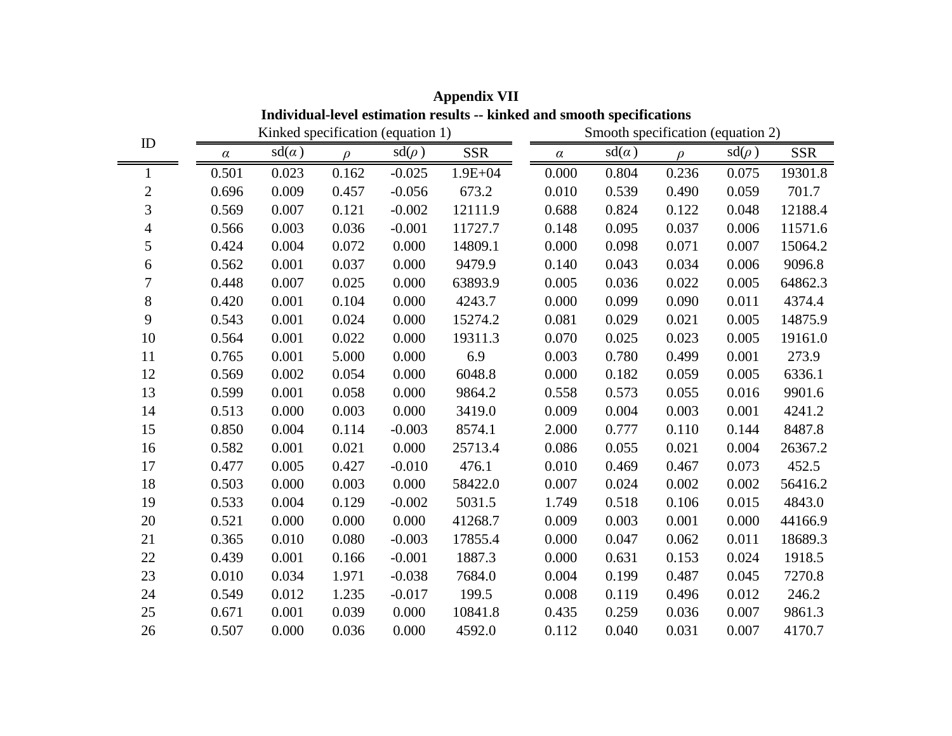| Individual-level estimation results -- kinked and smooth specifications |          |              |        |                                   |                                   |  |          |              |        |            |            |
|-------------------------------------------------------------------------|----------|--------------|--------|-----------------------------------|-----------------------------------|--|----------|--------------|--------|------------|------------|
|                                                                         |          |              |        | Kinked specification (equation 1) | Smooth specification (equation 2) |  |          |              |        |            |            |
| ID                                                                      | $\alpha$ | $sd(\alpha)$ | $\rho$ | $sd(\rho)$                        | <b>SSR</b>                        |  | $\alpha$ | $sd(\alpha)$ | $\rho$ | $sd(\rho)$ | <b>SSR</b> |
| 1                                                                       | 0.501    | 0.023        | 0.162  | $-0.025$                          | $1.9E + 04$                       |  | 0.000    | 0.804        | 0.236  | 0.075      | 19301.8    |
| $\mathbf{2}$                                                            | 0.696    | 0.009        | 0.457  | $-0.056$                          | 673.2                             |  | 0.010    | 0.539        | 0.490  | 0.059      | 701.7      |
| 3                                                                       | 0.569    | 0.007        | 0.121  | $-0.002$                          | 12111.9                           |  | 0.688    | 0.824        | 0.122  | 0.048      | 12188.4    |
| 4                                                                       | 0.566    | 0.003        | 0.036  | $-0.001$                          | 11727.7                           |  | 0.148    | 0.095        | 0.037  | 0.006      | 11571.6    |
| 5                                                                       | 0.424    | 0.004        | 0.072  | 0.000                             | 14809.1                           |  | 0.000    | 0.098        | 0.071  | 0.007      | 15064.2    |
| 6                                                                       | 0.562    | 0.001        | 0.037  | 0.000                             | 9479.9                            |  | 0.140    | 0.043        | 0.034  | 0.006      | 9096.8     |
| 7                                                                       | 0.448    | 0.007        | 0.025  | 0.000                             | 63893.9                           |  | 0.005    | 0.036        | 0.022  | 0.005      | 64862.3    |
| $8\,$                                                                   | 0.420    | 0.001        | 0.104  | 0.000                             | 4243.7                            |  | 0.000    | 0.099        | 0.090  | 0.011      | 4374.4     |
| 9                                                                       | 0.543    | 0.001        | 0.024  | 0.000                             | 15274.2                           |  | 0.081    | 0.029        | 0.021  | 0.005      | 14875.9    |
| 10                                                                      | 0.564    | 0.001        | 0.022  | 0.000                             | 19311.3                           |  | 0.070    | 0.025        | 0.023  | 0.005      | 19161.0    |
| 11                                                                      | 0.765    | 0.001        | 5.000  | 0.000                             | 6.9                               |  | 0.003    | 0.780        | 0.499  | 0.001      | 273.9      |
| 12                                                                      | 0.569    | 0.002        | 0.054  | 0.000                             | 6048.8                            |  | 0.000    | 0.182        | 0.059  | 0.005      | 6336.1     |
| 13                                                                      | 0.599    | 0.001        | 0.058  | 0.000                             | 9864.2                            |  | 0.558    | 0.573        | 0.055  | 0.016      | 9901.6     |
| 14                                                                      | 0.513    | 0.000        | 0.003  | 0.000                             | 3419.0                            |  | 0.009    | 0.004        | 0.003  | 0.001      | 4241.2     |
| 15                                                                      | 0.850    | 0.004        | 0.114  | $-0.003$                          | 8574.1                            |  | 2.000    | 0.777        | 0.110  | 0.144      | 8487.8     |
| 16                                                                      | 0.582    | 0.001        | 0.021  | 0.000                             | 25713.4                           |  | 0.086    | 0.055        | 0.021  | 0.004      | 26367.2    |
| 17                                                                      | 0.477    | 0.005        | 0.427  | $-0.010$                          | 476.1                             |  | 0.010    | 0.469        | 0.467  | 0.073      | 452.5      |
| 18                                                                      | 0.503    | 0.000        | 0.003  | 0.000                             | 58422.0                           |  | 0.007    | 0.024        | 0.002  | 0.002      | 56416.2    |
| 19                                                                      | 0.533    | 0.004        | 0.129  | $-0.002$                          | 5031.5                            |  | 1.749    | 0.518        | 0.106  | 0.015      | 4843.0     |
| 20                                                                      | 0.521    | 0.000        | 0.000  | 0.000                             | 41268.7                           |  | 0.009    | 0.003        | 0.001  | 0.000      | 44166.9    |
| 21                                                                      | 0.365    | 0.010        | 0.080  | $-0.003$                          | 17855.4                           |  | 0.000    | 0.047        | 0.062  | 0.011      | 18689.3    |
| 22                                                                      | 0.439    | 0.001        | 0.166  | $-0.001$                          | 1887.3                            |  | 0.000    | 0.631        | 0.153  | 0.024      | 1918.5     |
| 23                                                                      | 0.010    | 0.034        | 1.971  | $-0.038$                          | 7684.0                            |  | 0.004    | 0.199        | 0.487  | 0.045      | 7270.8     |
| 24                                                                      | 0.549    | 0.012        | 1.235  | $-0.017$                          | 199.5                             |  | 0.008    | 0.119        | 0.496  | 0.012      | 246.2      |
| 25                                                                      | 0.671    | 0.001        | 0.039  | 0.000                             | 10841.8                           |  | 0.435    | 0.259        | 0.036  | 0.007      | 9861.3     |
| 26                                                                      | 0.507    | 0.000        | 0.036  | 0.000                             | 4592.0                            |  | 0.112    | 0.040        | 0.031  | 0.007      | 4170.7     |

**Appendix VII**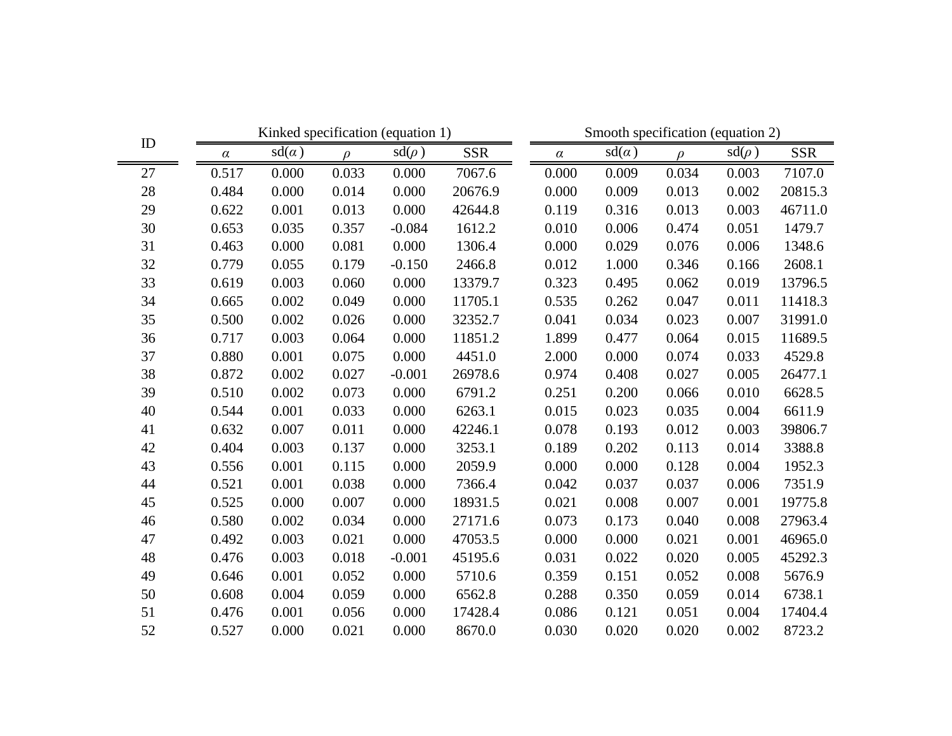| ID     |          | Kinked specification (equation 1) |        |            |            | Smooth specification (equation 2) |       |        |            |            |  |
|--------|----------|-----------------------------------|--------|------------|------------|-----------------------------------|-------|--------|------------|------------|--|
|        | $\alpha$ | $sd(\alpha)$                      | $\rho$ | $sd(\rho)$ | <b>SSR</b> | $\alpha$                          | sd(a) | $\rho$ | $sd(\rho)$ | <b>SSR</b> |  |
| 27     | 0.517    | 0.000                             | 0.033  | 0.000      | 7067.6     | 0.000                             | 0.009 | 0.034  | 0.003      | 7107.0     |  |
| $28\,$ | 0.484    | 0.000                             | 0.014  | 0.000      | 20676.9    | 0.000                             | 0.009 | 0.013  | 0.002      | 20815.3    |  |
| 29     | 0.622    | 0.001                             | 0.013  | 0.000      | 42644.8    | 0.119                             | 0.316 | 0.013  | 0.003      | 46711.0    |  |
| 30     | 0.653    | 0.035                             | 0.357  | $-0.084$   | 1612.2     | 0.010                             | 0.006 | 0.474  | 0.051      | 1479.7     |  |
| 31     | 0.463    | 0.000                             | 0.081  | 0.000      | 1306.4     | 0.000                             | 0.029 | 0.076  | 0.006      | 1348.6     |  |
| 32     | 0.779    | 0.055                             | 0.179  | $-0.150$   | 2466.8     | 0.012                             | 1.000 | 0.346  | 0.166      | 2608.1     |  |
| 33     | 0.619    | 0.003                             | 0.060  | 0.000      | 13379.7    | 0.323                             | 0.495 | 0.062  | 0.019      | 13796.5    |  |
| 34     | 0.665    | 0.002                             | 0.049  | 0.000      | 11705.1    | 0.535                             | 0.262 | 0.047  | 0.011      | 11418.3    |  |
| 35     | 0.500    | 0.002                             | 0.026  | 0.000      | 32352.7    | 0.041                             | 0.034 | 0.023  | 0.007      | 31991.0    |  |
| 36     | 0.717    | 0.003                             | 0.064  | 0.000      | 11851.2    | 1.899                             | 0.477 | 0.064  | 0.015      | 11689.5    |  |
| 37     | 0.880    | 0.001                             | 0.075  | 0.000      | 4451.0     | 2.000                             | 0.000 | 0.074  | 0.033      | 4529.8     |  |
| 38     | 0.872    | 0.002                             | 0.027  | $-0.001$   | 26978.6    | 0.974                             | 0.408 | 0.027  | 0.005      | 26477.1    |  |
| 39     | 0.510    | 0.002                             | 0.073  | 0.000      | 6791.2     | 0.251                             | 0.200 | 0.066  | 0.010      | 6628.5     |  |
| 40     | 0.544    | 0.001                             | 0.033  | 0.000      | 6263.1     | 0.015                             | 0.023 | 0.035  | 0.004      | 6611.9     |  |
| 41     | 0.632    | 0.007                             | 0.011  | 0.000      | 42246.1    | 0.078                             | 0.193 | 0.012  | 0.003      | 39806.7    |  |
| 42     | 0.404    | 0.003                             | 0.137  | 0.000      | 3253.1     | 0.189                             | 0.202 | 0.113  | 0.014      | 3388.8     |  |
| 43     | 0.556    | 0.001                             | 0.115  | 0.000      | 2059.9     | 0.000                             | 0.000 | 0.128  | 0.004      | 1952.3     |  |
| 44     | 0.521    | 0.001                             | 0.038  | 0.000      | 7366.4     | 0.042                             | 0.037 | 0.037  | 0.006      | 7351.9     |  |
| 45     | 0.525    | 0.000                             | 0.007  | 0.000      | 18931.5    | 0.021                             | 0.008 | 0.007  | 0.001      | 19775.8    |  |
| 46     | 0.580    | 0.002                             | 0.034  | 0.000      | 27171.6    | 0.073                             | 0.173 | 0.040  | 0.008      | 27963.4    |  |
| 47     | 0.492    | 0.003                             | 0.021  | 0.000      | 47053.5    | 0.000                             | 0.000 | 0.021  | 0.001      | 46965.0    |  |
| 48     | 0.476    | 0.003                             | 0.018  | $-0.001$   | 45195.6    | 0.031                             | 0.022 | 0.020  | 0.005      | 45292.3    |  |
| 49     | 0.646    | 0.001                             | 0.052  | 0.000      | 5710.6     | 0.359                             | 0.151 | 0.052  | 0.008      | 5676.9     |  |
| 50     | 0.608    | 0.004                             | 0.059  | 0.000      | 6562.8     | 0.288                             | 0.350 | 0.059  | 0.014      | 6738.1     |  |
| 51     | 0.476    | 0.001                             | 0.056  | 0.000      | 17428.4    | 0.086                             | 0.121 | 0.051  | 0.004      | 17404.4    |  |
| 52     | 0.527    | 0.000                             | 0.021  | 0.000      | 8670.0     | 0.030                             | 0.020 | 0.020  | 0.002      | 8723.2     |  |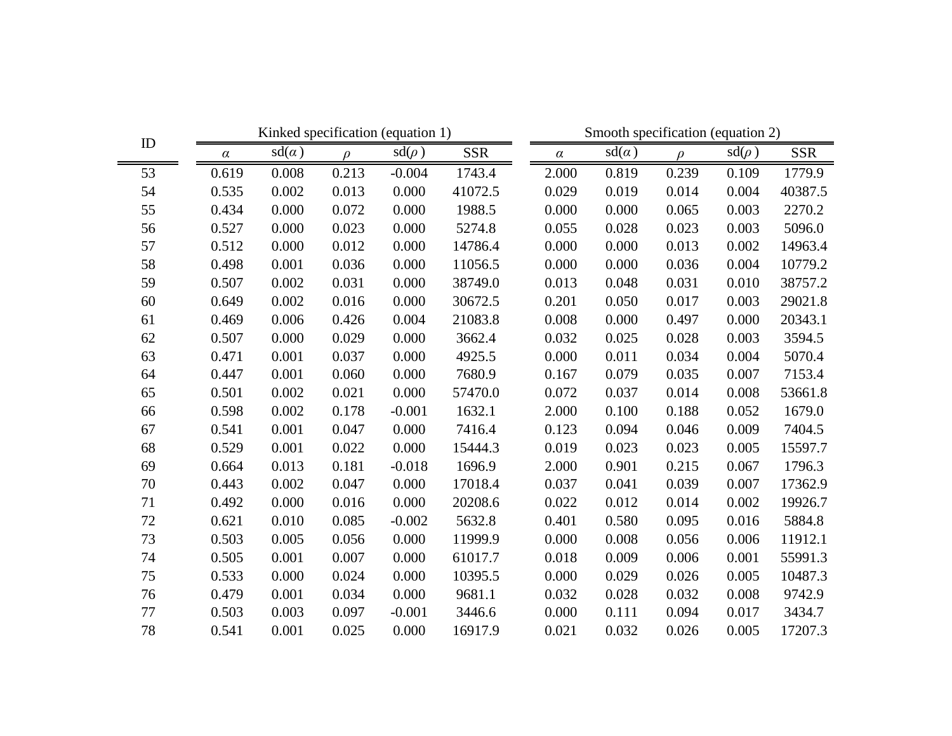|        |          | Kinked specification (equation 1) |        |            |            | Smooth specification (equation 2) |       |        |            |            |  |
|--------|----------|-----------------------------------|--------|------------|------------|-----------------------------------|-------|--------|------------|------------|--|
| ID     | $\alpha$ | $sd(\alpha)$                      | $\rho$ | $sd(\rho)$ | <b>SSR</b> | $\alpha$                          | sd(a) | $\rho$ | $sd(\rho)$ | <b>SSR</b> |  |
| 53     | 0.619    | 0.008                             | 0.213  | $-0.004$   | 1743.4     | 2.000                             | 0.819 | 0.239  | 0.109      | 1779.9     |  |
| 54     | 0.535    | 0.002                             | 0.013  | 0.000      | 41072.5    | 0.029                             | 0.019 | 0.014  | 0.004      | 40387.5    |  |
| 55     | 0.434    | 0.000                             | 0.072  | 0.000      | 1988.5     | 0.000                             | 0.000 | 0.065  | 0.003      | 2270.2     |  |
| 56     | 0.527    | 0.000                             | 0.023  | 0.000      | 5274.8     | 0.055                             | 0.028 | 0.023  | 0.003      | 5096.0     |  |
| 57     | 0.512    | 0.000                             | 0.012  | 0.000      | 14786.4    | 0.000                             | 0.000 | 0.013  | 0.002      | 14963.4    |  |
| 58     | 0.498    | 0.001                             | 0.036  | 0.000      | 11056.5    | 0.000                             | 0.000 | 0.036  | 0.004      | 10779.2    |  |
| 59     | 0.507    | 0.002                             | 0.031  | 0.000      | 38749.0    | 0.013                             | 0.048 | 0.031  | 0.010      | 38757.2    |  |
| 60     | 0.649    | 0.002                             | 0.016  | 0.000      | 30672.5    | 0.201                             | 0.050 | 0.017  | 0.003      | 29021.8    |  |
| 61     | 0.469    | 0.006                             | 0.426  | 0.004      | 21083.8    | 0.008                             | 0.000 | 0.497  | 0.000      | 20343.1    |  |
| 62     | 0.507    | 0.000                             | 0.029  | 0.000      | 3662.4     | 0.032                             | 0.025 | 0.028  | 0.003      | 3594.5     |  |
| 63     | 0.471    | 0.001                             | 0.037  | 0.000      | 4925.5     | 0.000                             | 0.011 | 0.034  | 0.004      | 5070.4     |  |
| 64     | 0.447    | 0.001                             | 0.060  | 0.000      | 7680.9     | 0.167                             | 0.079 | 0.035  | 0.007      | 7153.4     |  |
| 65     | 0.501    | 0.002                             | 0.021  | 0.000      | 57470.0    | 0.072                             | 0.037 | 0.014  | 0.008      | 53661.8    |  |
| 66     | 0.598    | 0.002                             | 0.178  | $-0.001$   | 1632.1     | 2.000                             | 0.100 | 0.188  | 0.052      | 1679.0     |  |
| 67     | 0.541    | 0.001                             | 0.047  | 0.000      | 7416.4     | 0.123                             | 0.094 | 0.046  | 0.009      | 7404.5     |  |
| 68     | 0.529    | 0.001                             | 0.022  | 0.000      | 15444.3    | 0.019                             | 0.023 | 0.023  | 0.005      | 15597.7    |  |
| 69     | 0.664    | 0.013                             | 0.181  | $-0.018$   | 1696.9     | 2.000                             | 0.901 | 0.215  | 0.067      | 1796.3     |  |
| 70     | 0.443    | 0.002                             | 0.047  | 0.000      | 17018.4    | 0.037                             | 0.041 | 0.039  | 0.007      | 17362.9    |  |
| 71     | 0.492    | 0.000                             | 0.016  | 0.000      | 20208.6    | 0.022                             | 0.012 | 0.014  | 0.002      | 19926.7    |  |
| $72\,$ | 0.621    | 0.010                             | 0.085  | $-0.002$   | 5632.8     | 0.401                             | 0.580 | 0.095  | 0.016      | 5884.8     |  |
| 73     | 0.503    | 0.005                             | 0.056  | 0.000      | 11999.9    | 0.000                             | 0.008 | 0.056  | 0.006      | 11912.1    |  |
| 74     | 0.505    | 0.001                             | 0.007  | 0.000      | 61017.7    | 0.018                             | 0.009 | 0.006  | 0.001      | 55991.3    |  |
| 75     | 0.533    | 0.000                             | 0.024  | 0.000      | 10395.5    | 0.000                             | 0.029 | 0.026  | 0.005      | 10487.3    |  |
| 76     | 0.479    | 0.001                             | 0.034  | 0.000      | 9681.1     | 0.032                             | 0.028 | 0.032  | 0.008      | 9742.9     |  |
| 77     | 0.503    | 0.003                             | 0.097  | $-0.001$   | 3446.6     | 0.000                             | 0.111 | 0.094  | 0.017      | 3434.7     |  |
| 78     | 0.541    | 0.001                             | 0.025  | 0.000      | 16917.9    | 0.021                             | 0.032 | 0.026  | 0.005      | 17207.3    |  |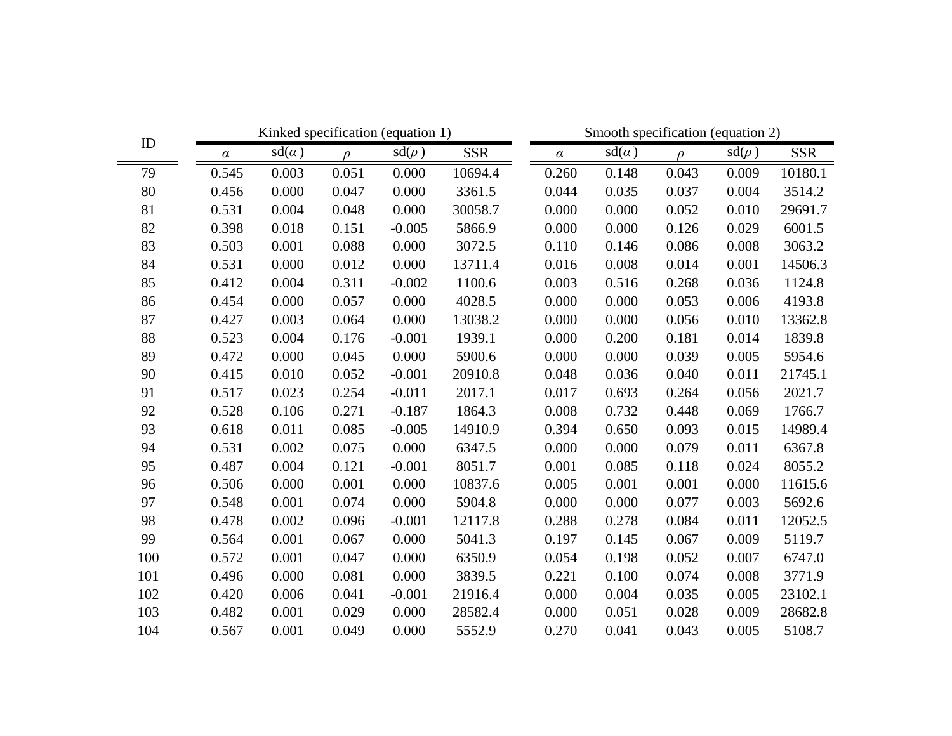| ID  | Kinked specification (equation 1) |              |        |            |            |  | Smooth specification (equation 2) |              |        |            |            |  |
|-----|-----------------------------------|--------------|--------|------------|------------|--|-----------------------------------|--------------|--------|------------|------------|--|
|     | $\alpha$                          | $sd(\alpha)$ | $\rho$ | $sd(\rho)$ | <b>SSR</b> |  | $\alpha$                          | $sd(\alpha)$ | $\rho$ | $sd(\rho)$ | <b>SSR</b> |  |
| 79  | 0.545                             | 0.003        | 0.051  | 0.000      | 10694.4    |  | 0.260                             | 0.148        | 0.043  | 0.009      | 10180.1    |  |
| 80  | 0.456                             | 0.000        | 0.047  | 0.000      | 3361.5     |  | 0.044                             | 0.035        | 0.037  | 0.004      | 3514.2     |  |
| 81  | 0.531                             | 0.004        | 0.048  | 0.000      | 30058.7    |  | 0.000                             | 0.000        | 0.052  | 0.010      | 29691.7    |  |
| 82  | 0.398                             | 0.018        | 0.151  | $-0.005$   | 5866.9     |  | 0.000                             | 0.000        | 0.126  | 0.029      | 6001.5     |  |
| 83  | 0.503                             | 0.001        | 0.088  | 0.000      | 3072.5     |  | 0.110                             | 0.146        | 0.086  | 0.008      | 3063.2     |  |
| 84  | 0.531                             | 0.000        | 0.012  | 0.000      | 13711.4    |  | 0.016                             | 0.008        | 0.014  | 0.001      | 14506.3    |  |
| 85  | 0.412                             | 0.004        | 0.311  | $-0.002$   | 1100.6     |  | 0.003                             | 0.516        | 0.268  | 0.036      | 1124.8     |  |
| 86  | 0.454                             | 0.000        | 0.057  | 0.000      | 4028.5     |  | 0.000                             | 0.000        | 0.053  | 0.006      | 4193.8     |  |
| 87  | 0.427                             | 0.003        | 0.064  | 0.000      | 13038.2    |  | 0.000                             | 0.000        | 0.056  | 0.010      | 13362.8    |  |
| 88  | 0.523                             | 0.004        | 0.176  | $-0.001$   | 1939.1     |  | 0.000                             | 0.200        | 0.181  | 0.014      | 1839.8     |  |
| 89  | 0.472                             | 0.000        | 0.045  | 0.000      | 5900.6     |  | 0.000                             | 0.000        | 0.039  | 0.005      | 5954.6     |  |
| 90  | 0.415                             | 0.010        | 0.052  | $-0.001$   | 20910.8    |  | 0.048                             | 0.036        | 0.040  | 0.011      | 21745.1    |  |
| 91  | 0.517                             | 0.023        | 0.254  | $-0.011$   | 2017.1     |  | 0.017                             | 0.693        | 0.264  | 0.056      | 2021.7     |  |
| 92  | 0.528                             | 0.106        | 0.271  | $-0.187$   | 1864.3     |  | 0.008                             | 0.732        | 0.448  | 0.069      | 1766.7     |  |
| 93  | 0.618                             | 0.011        | 0.085  | $-0.005$   | 14910.9    |  | 0.394                             | 0.650        | 0.093  | 0.015      | 14989.4    |  |
| 94  | 0.531                             | 0.002        | 0.075  | 0.000      | 6347.5     |  | 0.000                             | 0.000        | 0.079  | 0.011      | 6367.8     |  |
| 95  | 0.487                             | 0.004        | 0.121  | $-0.001$   | 8051.7     |  | 0.001                             | 0.085        | 0.118  | 0.024      | 8055.2     |  |
| 96  | 0.506                             | 0.000        | 0.001  | 0.000      | 10837.6    |  | 0.005                             | 0.001        | 0.001  | 0.000      | 11615.6    |  |
| 97  | 0.548                             | 0.001        | 0.074  | 0.000      | 5904.8     |  | 0.000                             | 0.000        | 0.077  | 0.003      | 5692.6     |  |
| 98  | 0.478                             | 0.002        | 0.096  | $-0.001$   | 12117.8    |  | 0.288                             | 0.278        | 0.084  | 0.011      | 12052.5    |  |
| 99  | 0.564                             | 0.001        | 0.067  | 0.000      | 5041.3     |  | 0.197                             | 0.145        | 0.067  | 0.009      | 5119.7     |  |
| 100 | 0.572                             | 0.001        | 0.047  | 0.000      | 6350.9     |  | 0.054                             | 0.198        | 0.052  | 0.007      | 6747.0     |  |
| 101 | 0.496                             | 0.000        | 0.081  | 0.000      | 3839.5     |  | 0.221                             | 0.100        | 0.074  | 0.008      | 3771.9     |  |
| 102 | 0.420                             | 0.006        | 0.041  | $-0.001$   | 21916.4    |  | 0.000                             | 0.004        | 0.035  | 0.005      | 23102.1    |  |
| 103 | 0.482                             | 0.001        | 0.029  | 0.000      | 28582.4    |  | 0.000                             | 0.051        | 0.028  | 0.009      | 28682.8    |  |
| 104 | 0.567                             | 0.001        | 0.049  | 0.000      | 5552.9     |  | 0.270                             | 0.041        | 0.043  | 0.005      | 5108.7     |  |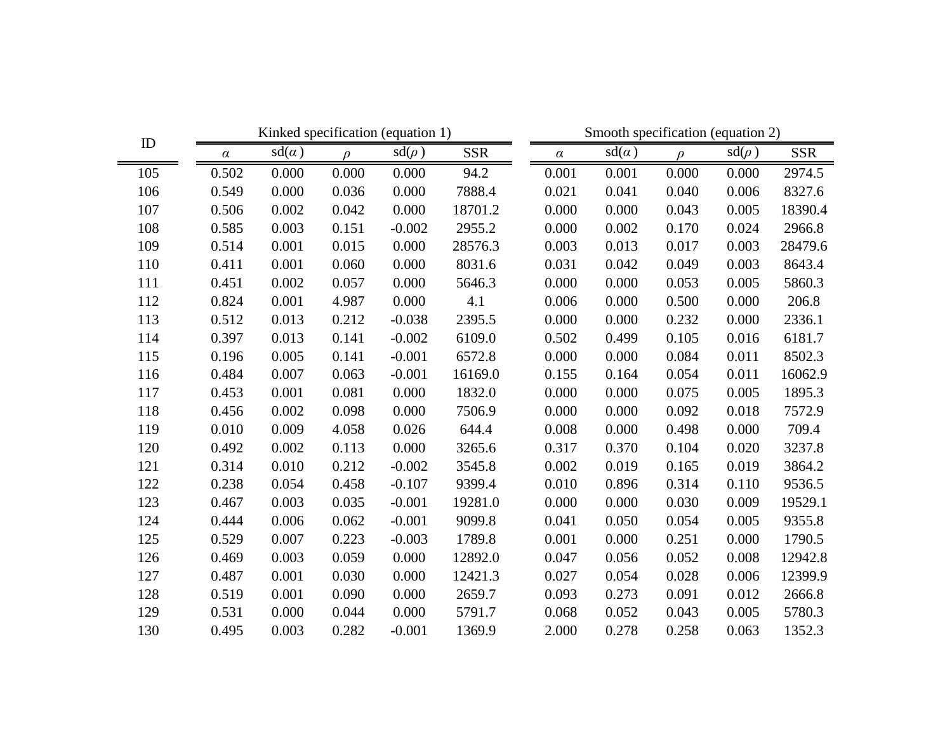|     |          |              |        | Kinked specification (equation 1) |            | Smooth specification (equation 2) |              |          |            |            |  |
|-----|----------|--------------|--------|-----------------------------------|------------|-----------------------------------|--------------|----------|------------|------------|--|
| ID  | $\alpha$ | $sd(\alpha)$ | $\rho$ | $sd(\rho)$                        | <b>SSR</b> | $\alpha$                          | $sd(\alpha)$ | $\Omega$ | $sd(\rho)$ | <b>SSR</b> |  |
| 105 | 0.502    | 0.000        | 0.000  | 0.000                             | 94.2       | 0.001                             | 0.001        | 0.000    | 0.000      | 2974.5     |  |
| 106 | 0.549    | 0.000        | 0.036  | 0.000                             | 7888.4     | 0.021                             | 0.041        | 0.040    | 0.006      | 8327.6     |  |
| 107 | 0.506    | 0.002        | 0.042  | 0.000                             | 18701.2    | 0.000                             | 0.000        | 0.043    | 0.005      | 18390.4    |  |
| 108 | 0.585    | 0.003        | 0.151  | $-0.002$                          | 2955.2     | 0.000                             | 0.002        | 0.170    | 0.024      | 2966.8     |  |
| 109 | 0.514    | 0.001        | 0.015  | 0.000                             | 28576.3    | 0.003                             | 0.013        | 0.017    | 0.003      | 28479.6    |  |
| 110 | 0.411    | 0.001        | 0.060  | 0.000                             | 8031.6     | 0.031                             | 0.042        | 0.049    | 0.003      | 8643.4     |  |
| 111 | 0.451    | 0.002        | 0.057  | 0.000                             | 5646.3     | 0.000                             | 0.000        | 0.053    | 0.005      | 5860.3     |  |
| 112 | 0.824    | 0.001        | 4.987  | 0.000                             | 4.1        | 0.006                             | 0.000        | 0.500    | 0.000      | 206.8      |  |
| 113 | 0.512    | 0.013        | 0.212  | $-0.038$                          | 2395.5     | 0.000                             | 0.000        | 0.232    | 0.000      | 2336.1     |  |
| 114 | 0.397    | 0.013        | 0.141  | $-0.002$                          | 6109.0     | 0.502                             | 0.499        | 0.105    | 0.016      | 6181.7     |  |
| 115 | 0.196    | 0.005        | 0.141  | $-0.001$                          | 6572.8     | 0.000                             | 0.000        | 0.084    | 0.011      | 8502.3     |  |
| 116 | 0.484    | 0.007        | 0.063  | $-0.001$                          | 16169.0    | 0.155                             | 0.164        | 0.054    | 0.011      | 16062.9    |  |
| 117 | 0.453    | 0.001        | 0.081  | 0.000                             | 1832.0     | 0.000                             | 0.000        | 0.075    | 0.005      | 1895.3     |  |
| 118 | 0.456    | 0.002        | 0.098  | 0.000                             | 7506.9     | 0.000                             | 0.000        | 0.092    | 0.018      | 7572.9     |  |
| 119 | 0.010    | 0.009        | 4.058  | 0.026                             | 644.4      | 0.008                             | 0.000        | 0.498    | 0.000      | 709.4      |  |
| 120 | 0.492    | 0.002        | 0.113  | 0.000                             | 3265.6     | 0.317                             | 0.370        | 0.104    | 0.020      | 3237.8     |  |
| 121 | 0.314    | 0.010        | 0.212  | $-0.002$                          | 3545.8     | 0.002                             | 0.019        | 0.165    | 0.019      | 3864.2     |  |
| 122 | 0.238    | 0.054        | 0.458  | $-0.107$                          | 9399.4     | 0.010                             | 0.896        | 0.314    | 0.110      | 9536.5     |  |
| 123 | 0.467    | 0.003        | 0.035  | $-0.001$                          | 19281.0    | 0.000                             | 0.000        | 0.030    | 0.009      | 19529.1    |  |
| 124 | 0.444    | 0.006        | 0.062  | $-0.001$                          | 9099.8     | 0.041                             | 0.050        | 0.054    | 0.005      | 9355.8     |  |
| 125 | 0.529    | 0.007        | 0.223  | $-0.003$                          | 1789.8     | 0.001                             | 0.000        | 0.251    | 0.000      | 1790.5     |  |
| 126 | 0.469    | 0.003        | 0.059  | 0.000                             | 12892.0    | 0.047                             | 0.056        | 0.052    | 0.008      | 12942.8    |  |
| 127 | 0.487    | 0.001        | 0.030  | 0.000                             | 12421.3    | 0.027                             | 0.054        | 0.028    | 0.006      | 12399.9    |  |
| 128 | 0.519    | 0.001        | 0.090  | 0.000                             | 2659.7     | 0.093                             | 0.273        | 0.091    | 0.012      | 2666.8     |  |
| 129 | 0.531    | 0.000        | 0.044  | 0.000                             | 5791.7     | 0.068                             | 0.052        | 0.043    | 0.005      | 5780.3     |  |
| 130 | 0.495    | 0.003        | 0.282  | $-0.001$                          | 1369.9     | 2.000                             | 0.278        | 0.258    | 0.063      | 1352.3     |  |